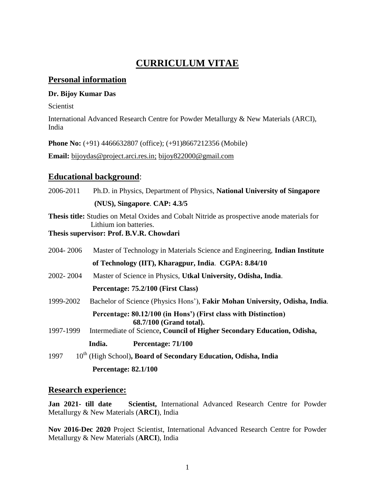# **CURRICULUM VITAE**

## **Personal information**

### **Dr. Bijoy Kumar Das**

Scientist

International Advanced Research Centre for Powder Metallurgy & New Materials (ARCI), India

**Phone No:** (+91) 4466632807 (office); (+91)8667212356 (Mobile)

**Email:** [bijoydas@project.arci.res.in;](mailto:bijoydas@project.arci.res.in) [bijoy822000@gmail.com](mailto:bijoy822000@gmail.com)

## **Educational background**:

2006-2011 Ph.D. in Physics, Department of Physics, **National University of Singapore (NUS), Singapore**. **CAP: 4.3/5**

**Thesis title:** Studies on Metal Oxides and Cobalt Nitride as prospective anode materials for Lithium ion batteries.

**Thesis supervisor: Prof. B.V.R. Chowdari**

| 2004-2006 | Master of Technology in Materials Science and Engineering, <b>Indian Institute</b>         |
|-----------|--------------------------------------------------------------------------------------------|
|           | of Technology (IIT), Kharagpur, India. CGPA: 8.84/10                                       |
| 2002-2004 | Master of Science in Physics, Utkal University, Odisha, India.                             |
|           | Percentage: 75.2/100 (First Class)                                                         |
| 1999-2002 | Bachelor of Science (Physics Hons'), Fakir Mohan University, Odisha, India.                |
|           | Percentage: 80.12/100 (in Hons') (First class with Distinction)<br>68.7/100 (Grand total). |
| 1997-1999 | Intermediate of Science, Council of Higher Secondary Education, Odisha,                    |
|           | Percentage: 71/100<br>India.                                                               |
| 1997      | 10 <sup>th</sup> (High School), Board of Secondary Education, Odisha, India                |
|           | <b>Percentage: 82.1/100</b>                                                                |

### **Research experience:**

**Jan 2021- till date Scientist,** International Advanced Research Centre for Powder Metallurgy & New Materials (**ARCI**), India

**Nov 2016-Dec 2020** Project Scientist, International Advanced Research Centre for Powder Metallurgy & New Materials (**ARCI**), India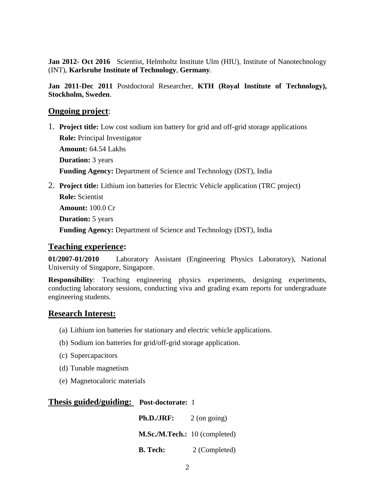**Jan 2012- Oct 2016** Scientist, Helmholtz Institute Ulm (HIU), Institute of Nanotechnology (INT), **Karlsruhe Institute of Technology**, **Germany**.

**Jan 2011-Dec 2011** Postdoctoral Researcher, **KTH (Royal Institute of Technology), Stockholm, Sweden**.

### **Ongoing project**:

- 1. **Project title:** Low cost sodium ion battery for grid and off-grid storage applications  **Role:** Principal Investigator  **Amount:** 64.54 Lakhs  **Duration:** 3 years  **Funding Agency:** Department of Science and Technology (DST), India
- 2. **Project title:** Lithium ion batteries for Electric Vehicle application (TRC project)  **Role:** Scientist

 **Amount:** 100.0 Cr

 **Duration:** 5 years

 **Funding Agency:** Department of Science and Technology (DST), India

### **Teaching experience:**

**01/2007-01/2010** Laboratory Assistant (Engineering Physics Laboratory), National University of Singapore, Singapore.

**Responsibility**: Teaching engineering physics experiments, designing experiments, conducting laboratory sessions, conducting viva and grading exam reports for undergraduate engineering students.

### **Research Interest:**

- (a) Lithium ion batteries for stationary and electric vehicle applications.
- (b) Sodium ion batteries for grid/off-grid storage application.
- (c) Supercapacitors
- (d) Tunable magnetism
- (e) Magnetocaloric materials

### **Thesis guided/guiding: Post-doctorate:** 1

**Ph.D./JRF:** 2 (on going) **M.Sc./M.Tech.:** 10 (completed)  **B. Tech:** 2 (Completed)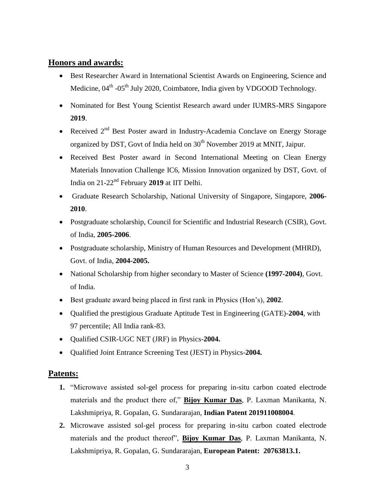# **Honors and awards:**

- Best Researcher Award in International Scientist Awards on Engineering, Science and Medicine, 04<sup>th</sup> -05<sup>th</sup> July 2020, Coimbatore, India given by VDGOOD Technology.
- Nominated for Best Young Scientist Research award under IUMRS-MRS Singapore **2019**.
- Received  $2<sup>nd</sup>$  Best Poster award in Industry-Academia Conclave on Energy Storage organized by DST, Govt of India held on 30<sup>th</sup> November 2019 at MNIT, Jaipur.
- Received Best Poster award in Second International Meeting on Clean Energy Materials Innovation Challenge IC6, Mission Innovation organized by DST, Govt. of India on 21-22nd February **2019** at IIT Delhi.
- Graduate Research Scholarship, National University of Singapore, Singapore, **2006- 2010**.
- Postgraduate scholarship, Council for Scientific and Industrial Research (CSIR), Govt. of India, **2005-2006**.
- Postgraduate scholarship, Ministry of Human Resources and Development (MHRD), Govt. of India, **2004-2005.**
- National Scholarship from higher secondary to Master of Science **(1997-2004)**, Govt. of India.
- Best graduate award being placed in first rank in Physics (Hon's), **2002**.
- Qualified the prestigious Graduate Aptitude Test in Engineering (GATE)-**2004**, with 97 percentile; All India rank-83.
- Qualified CSIR-UGC NET (JRF) in Physics-**2004.**
- Qualified Joint Entrance Screening Test (JEST) in Physics-**2004.**

# **Patents:**

- **1.** "Microwave assisted sol-gel process for preparing in-situ carbon coated electrode materials and the product there of," **Bijoy Kumar Das**, P. Laxman Manikanta, N. Lakshmipriya, R. Gopalan, G. Sundararajan, **Indian Patent 201911008004**.
- **2.** Microwave assisted sol-gel process for preparing in-situ carbon coated electrode materials and the product thereof", **Bijoy Kumar Das**, P. Laxman Manikanta, N. Lakshmipriya, R. Gopalan, G. Sundararajan, **European Patent: 20763813.1.**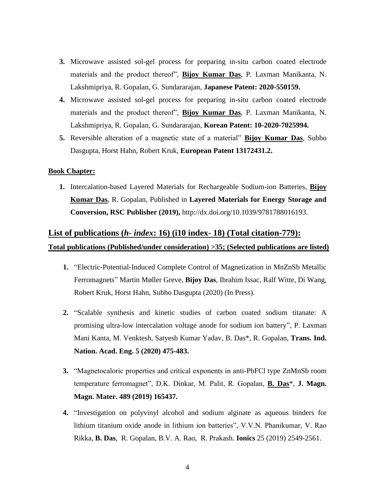- **3.** Microwave assisted sol-gel process for preparing in-situ carbon coated electrode materials and the product thereof", **Bijoy Kumar Das**, P. Laxman Manikanta, N. Lakshmipriya, R. Gopalan, G. Sundararajan, **Japanese Patent: 2020-550159.**
- **4.** Microwave assisted sol-gel process for preparing in-situ carbon coated electrode materials and the product thereof", **Bijoy Kumar Das**, P. Laxman Manikanta, N. Lakshmipriya, R. Gopalan, G. Sundararajan, **Korean Patent: 10-2020-7025994.**
- **5.** Reversible alteration of a magnetic state of a material" **Bijoy Kumar Das**, Subho Dasgupta, Horst Hahn, Robert Kruk, **European Patent 13172431.2.**

#### **Book Chapter:**

**1.** Intercalation-based Layered Materials for Rechargeable Sodium-ion Batteries, **Bijoy Kumar Das**, R. Gopalan, Published in **Layered Materials for Energy Storage and Conversion, RSC Publisher (2019),** [http://dx.doi.org/10.1039/9781788016193.](http://dx.doi.org/10.1039/9781788016193)

# **List of publications (***h- index***: 16) (i10 index- 18) (Total citation-779): Total publications (Published/under consideration) >35; (Selected publications are listed)**

- **1.** "Electric-Potential-Induced Complete Control of Magnetization in MnZnSb Metallic Ferromagnets" Martin Møller Greve, **Bijoy Das**, Ibrahim Issac, Ralf Witte, Di Wang, Robert Kruk, Horst Hahn, Subho Dasgupta (2020) (In Press).
- **2.** "Scalable synthesis and kinetic studies of carbon coated sodium titanate: A promising ultra-low intercalation voltage anode for sodium ion battery", P. Laxman Mani Kanta, M. Venktesh, Satyesh Kumar Yadav, B. Das\*, R. Gopalan, **Trans. Ind. Nation. Acad. Eng. 5 (2020) 475-483.**
- **3.** "Magnetocaloric properties and critical exponents in anti-PbFCl type ZnMnSb room temperature ferromagnet", D.K. Dinkar, M. Palit, R. Gopalan, **B. Das**\*, **J. Magn. Magn. Mater. 489 (2019) 165437.**
- **4.** "Investigation on polyvinyl alcohol and sodium alginate as aqueous binders for lithium titanium oxide anode in lithium ion batteries", V.V.N. Phanikumar, V. Rao Rikka, **B. Das**, R. Gopalan, B.V. A. Rao, R. Prakash. **Ionics** 25 (2019) 2549-2561.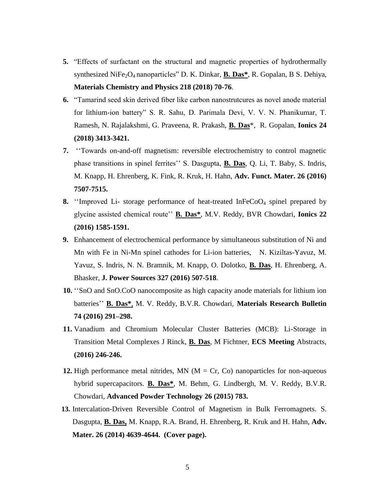- **5.** "Effects of surfactant on the structural and magnetic properties of hydrothermally synthesized NiFe<sub>2</sub>O<sub>4</sub> nanoparticles" D. K. Dinkar, **B. Das**\*, R. Gopalan, B S. Dehiya, **Materials Chemistry and Physics 218 (2018) 70-76**.
- **6.** "Tamarind seed skin derived fiber like carbon nanostrutcures as novel anode material for lithium-ion battery" S. R. Sahu, D. Parimala Devi, V. V. N. Phanikumar, T. Ramesh, N. Rajalakshmi, G. Praveena, R. Prakash, **B. Das**\*, R. Gopalan, **Ionics 24 (2018) 3413-3421.**
- **7.** ''Towards on-and-off magnetism: reversible electrochemistry to control magnetic phase transitions in spinel ferrites'' S. Dasgupta, **B. Das**, Q. Li, T. Baby, S. Indris, M. Knapp, H. Ehrenberg, K. Fink, R. Kruk, H. Hahn, **Adv. Funct. Mater. 26 (2016) 7507-7515.**
- **8.** "Improved Li- storage performance of heat-treated InFeCoO<sub>4</sub> spinel prepared by glycine assisted chemical route'' **B. Das\***, M.V. Reddy, BVR Chowdari, **Ionics 22 (2016) 1585-1591.**
- **9.** Enhancement of electrochemical performance by simultaneous substitution of Ni and Mn with Fe in Ni-Mn spinel cathodes for Li-ion batteries, [N.](https://www.scopus.com/authid/detail.uri?authorId=55897844300&eid=2-s2.0-84979651488) Kiziltas-Yavuz, [M.](https://www.scopus.com/authid/detail.uri?authorId=56209156700&eid=2-s2.0-84979651488) Yavuz, S. Indris, N. N. Bramnik, M. Knapp, O. Dolotko, **B. Das**, H. Ehrenberg, A. Bhasker, **J. Power Sources 327 (2016) 507-518**.
- **10.** ''SnO and SnO.CoO nanocomposite as high capacity anode materials for lithium ion batteries'' **B. Das\***, M. V. Reddy, B.V.R. Chowdari, **Materials Research Bulletin 74 (2016) 291–298.**
- **11.** [Vanadium and Chromium Molecular Cluster Batteries \(MCB\): Li-Storage in](javascript:void(0))  [Transition Metal Complexes](javascript:void(0)) J Rinck, **B. Das**, M Fichtner, **ECS Meeting** Abstracts, **(2016) 246-246.**
- **12.** High performance metal nitrides, MN ( $M = Cr$ , Co) nanoparticles for non-aqueous hybrid supercapacitors. **B. Das\***, M. Behm, G. Lindbergh, M. V. Reddy, B.V.R. Chowdari, **Advanced Powder Technology 26 (2015) 783.**
- **13.** Intercalation-Driven Reversible Control of Magnetism in Bulk Ferromagnets. S. Dasgupta, **B. Das,** M. Knapp, R.A. Brand, H. Ehrenberg, R. Kruk and H. Hahn, **Adv. Mater. 26 (2014) 4639-4644. (Cover page).**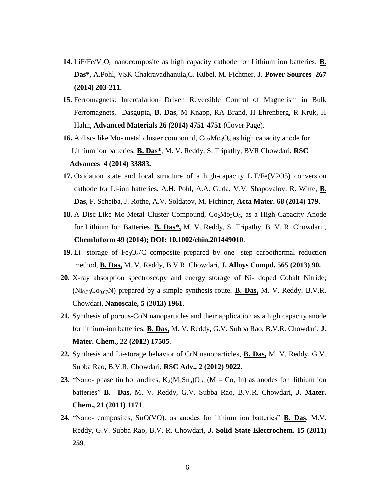- **14.** LiF/Fe/V<sub>2</sub>O<sub>5</sub> nanocomposite as high capacity cathode for Lithium ion batteries, **B. Das\***, A.Pohl, VSK Chakravadhanula,C. Kübel, M. Fichtner, **J. Power Sources 267 (2014) 203-211.**
- **15.** Ferromagnets: Intercalation‐ Driven Reversible Control of Magnetism in Bulk Ferromagnets, Dasgupta, **B. Das**, M Knapp, RA Brand, H Ehrenberg, R Kruk, H Hahn, **Advanced Materials 26 (2014) 4751-4751** (Cover Page).
- **16.** A disc- like Mo- metal cluster compound,  $Co_2Mo_3O_8$  as high capacity anode for Lithium ion batteries, **B. Das\***, M. V. Reddy, S. Tripathy, BVR Chowdari, **RSC Advances 4 (2014) 33883.**
- **17.** Oxidation state and local structure of a high-capacity LiF/Fe(V2O5) conversion cathode for Li-ion batteries, A.H. Pohl, A.A. Guda, V.V. Shapovalov, R. Witte, **B. Das**, F. Scheiba, J. Rothe, A.V. Soldatov, M. Fichtner, **Acta Mater. 68 (2014) 179.**
- **18.** A Disc-Like Mo-Metal Cluster Compound, Co<sub>2</sub>Mo<sub>3</sub>O<sub>8</sub>, as a High Capacity Anode for Lithium Ion Batteries. **[B. Das\\*](http://www.researchgate.net/profile/B_Das5),** [M. V. Reddy,](http://www.researchgate.net/researcher/2058779166_M_V_Reddy) [S. Tripathy,](http://www.researchgate.net/profile/Sudhiranjan_Tripathy) [B. V. R. Chowdari](http://www.researchgate.net/researcher/75408482_B_V_R_Chowdari) , **[ChemInform](http://www.researchgate.net/journal/1522-2667_ChemInform) 49 (2014); DOI: 10.1002/chin.201449010**.
- **19.** Li- storage of Fe<sub>3</sub>O<sub>4</sub>/C composite prepared by one- step carbothermal reduction method, **B. Das,** M. V. Reddy, B.V.R. Chowdari, **J. Alloys Compd. 565 (2013) 90.**
- **20.** X-ray absorption spectroscopy and energy storage of Ni- doped Cobalt Nitride;  $(Ni_{0.33}Co_{0.67}N)$  prepared by a simple synthesis route, **B. Das,** M. V. Reddy, B.V.R. Chowdari, **Nanoscale, 5 (2013) 1961**.
- **21.** Synthesis of porous-CoN nanoparticles and their application as a high capacity anode for lithium-ion batteries, **B. Das,** M. V. Reddy, G.V. Subba Rao, B.V.R. Chowdari, **J. Mater. Chem., 22 (2012) 17505**.
- **22.** Synthesis and Li-storage behavior of CrN nanoparticles, **B. Das,** M. V. Reddy, G.V. Subba Rao, B.V.R. Chowdari, **RSC Adv., 2 (2012) 9022.**
- **23.** "Nano- phase tin hollandites,  $K_2(M_2Sn_6)O_{16}$  (M = Co, In) as anodes for lithium ion batteries" **B. Das,** M. V. Reddy, G.V. Subba Rao, B.V.R. Chowdari, **J. Mater. Chem., 21 (2011) 1171**.
- **24.** "Nano- composites,  $\text{SnO}(VO)_x$  as anodes for lithium ion batteries" **B. Das**, M.V. Reddy, G.V. Subba Rao, B.V. R. Chowdari, **J. Solid State Electrochem. 15 (2011) 259**.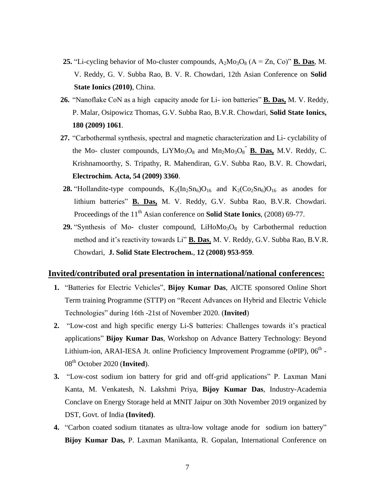- **25.** "Li-cycling behavior of Mo-cluster compounds,  $A_2M_0^3O_8$  ( $A = Zn$ , Co)" **B. Das**, M. V. Reddy, G. V. Subba Rao, B. V. R. Chowdari, 12th Asian Conference on **Solid State Ionics (2010)**, China.
- **26.** "Nanoflake CoN as a high capacity anode for Li- ion batteries" **B. Das,** M. V. Reddy, P. Malar, Osipowicz Thomas, G.V. Subba Rao, B.V.R. Chowdari, **Solid State Ionics, 180 (2009) 1061**.
- **27.** "Carbothermal synthesis, spectral and magnetic characterization and Li- cyclability of the Mo- cluster compounds,  $LiYMo<sub>3</sub>O<sub>8</sub>$  and  $Mn<sub>2</sub>Mo<sub>3</sub>O<sub>8</sub><sup>''</sup>$  **B. Das,** M.V. Reddy, C. Krishnamoorthy, S. Tripathy, R. Mahendiran, G.V. Subba Rao, B.V. R. Chowdari, **Electrochim. Acta, 54 (2009) 3360**.
- **28.** "Hollandite-type compounds,  $K_2(In_2Sn_6)O_{16}$  and  $K_2(C_2Sn_6)O_{16}$  as anodes for lithium batteries" **B. Das,** M. V. Reddy, G.V. Subba Rao, B.V.R. Chowdari. Proceedings of the 11<sup>th</sup> Asian conference on **Solid State Ionics**, (2008) 69-77.
- **29.** "Synthesis of Mo- cluster compound,  $LiH_0M_0^3O_8$  by Carbothermal reduction method and it's reactivity towards Li" **B. Das**, M. V. Reddy, G.V. Subba Rao, B.V.R. Chowdari, **J. Solid State Electrochem.**, **12 (2008) 953-959**.

## **Invited/contributed oral presentation in international/national conferences:**

- **1.** "Batteries for Electric Vehicles", **Bijoy Kumar Das**, AICTE sponsored Online Short Term training Programme (STTP) on "Recent Advances on Hybrid and Electric Vehicle Technologies" during 16th -21st of November 2020. (**Invited**)
- **2.** "Low-cost and high specific energy Li-S batteries: Challenges towards it's practical applications" **Bijoy Kumar Das**, Workshop on Advance Battery Technology: Beyond Lithium-ion, ARAI-IESA Jt. online Proficiency Improvement Programme (oPIP), 06<sup>th</sup> -08th October 2020 (**Invited**).
- **3.** "Low-cost sodium ion battery for grid and off-grid applications" P. Laxman Mani Kanta, M. Venkatesh, N. Lakshmi Priya, **Bijoy Kumar Das**, Industry-Academia Conclave on Energy Storage held at MNIT Jaipur on 30th November 2019 organized by DST, Govt. of India **(Invited)**.
- **4.** "Carbon coated sodium titanates as ultra-low voltage anode for sodium ion battery" **Bijoy Kumar Das,** P. Laxman Manikanta, R. Gopalan, International Conference on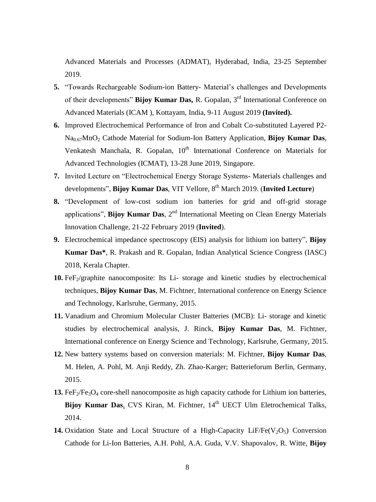Advanced Materials and Processes (ADMAT), Hyderabad, India, 23-25 September 2019.

- **5.** "Towards Rechargeable Sodium-ion Battery- Material's challenges and Developments of their developments" **Bijoy Kumar Das,** R. Gopalan, 3rd International Conference on Advanced Materials (ICAM ), Kottayam, India, 9-11 August 2019 **(Invited).**
- **6.** Improved Electrochemical Performance of Iron and Cobalt Co-substituted Layered P2- Na0.67MnO<sup>2</sup> Cathode Material for Sodium-Ion Battery Application, **Bijoy Kumar Das**, Venkatesh Manchala, R. Gopalan, 10<sup>th</sup> International Conference on Materials for Advanced Technologies (ICMAT), 13-28 June 2019, Singapore.
- **7.** Invited Lecture on "Electrochemical Energy Storage Systems- Materials challenges and developments", **Bijoy Kumar Das**, VIT Vellore, 8th March 2019. (**Invited Lecture**)
- **8.** "Development of low-cost sodium ion batteries for grid and off-grid storage applications", **Bijoy Kumar Das**, 2<sup>nd</sup> International Meeting on Clean Energy Materials Innovation Challenge, 21-22 February 2019 (**Invited**).
- **9.** Electrochemical impedance spectroscopy (EIS) analysis for lithium ion battery", **Bijoy Kumar Das\***, R. Prakash and R. Gopalan, Indian Analytical Science Congress (IASC) 2018, Kerala Chapter.
- **10.** FeF<sub>2</sub>/graphite nanocomposite: Its Li-storage and kinetic studies by electrochemical techniques, **Bijoy Kumar Das**, M. Fichtner, International conference on Energy Science and Technology, Karlsruhe, Germany, 2015.
- **11.** Vanadium and Chromium Molecular Cluster Batteries (MCB): Li- storage and kinetic studies by electrochemical analysis, J. Rinck, **Bijoy Kumar Das**, M. Fichtner, International conference on Energy Science and Technology, Karlsruhe, Germany, 2015.
- **12.** New battery systems based on conversion materials: M. Fichtner, **Bijoy Kumar Das**, M. Helen, A. Pohl, M. Anji Reddy, Zh. Zhao-Karger; Batterieforum Berlin, Germany, 2015.
- 13.  $FeF<sub>2</sub>/Fe<sub>3</sub>O<sub>4</sub>$  core-shell nanocomposite as high capacity cathode for Lithium ion batteries, Bijoy Kumar Das, CVS Kiran, M. Fichtner, 14<sup>th</sup> UECT Ulm Eletrochemical Talks, 2014.
- **14.** Oxidation State and Local Structure of a High-Capacity LiF/Fe( $V_2O_5$ ) Conversion Cathode for Li-Ion Batteries, A.H. Pohl, A.A. Guda, V.V. Shapovalov, R. Witte, **Bijoy**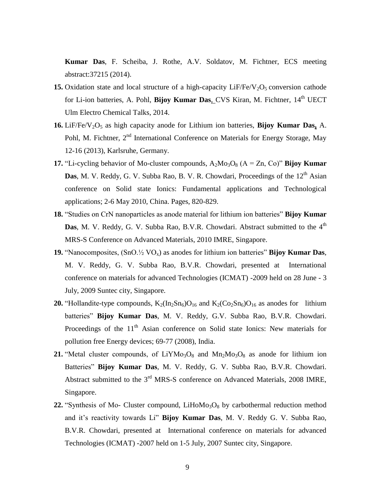**Kumar Das**, F. Scheiba, J. Rothe, A.V. Soldatov, M. Fichtner, ECS meeting abstract:37215 (2014).

- **15.** Oxidation state and local structure of a high-capacity  $LiF/Fe/V<sub>2</sub>O<sub>5</sub>$  conversion cathode for Li-ion batteries, A. Pohl, **Bijoy Kumar Das**, CVS Kiran, M. Fichtner, 14<sup>th</sup> UECT Ulm Electro Chemical Talks, 2014.
- 16. LiF/Fe/V<sub>2</sub>O<sub>5</sub> as high capacity anode for Lithium ion batteries, **Bijoy Kumar Das,** A. Pohl, M. Fichtner,  $2<sup>nd</sup>$  International Conference on Materials for Energy Storage, May 12-16 (2013), Karlsruhe, Germany.
- **17.** "Li-cycling behavior of Mo-cluster compounds,  $A_2M_0$ <sub>3</sub> $O_8$  (A = Zn, Co)" **Bijoy Kumar Das**, M. V. Reddy, G. V. Subba Rao, B. V. R. Chowdari, Proceedings of the 12<sup>th</sup> Asian conference on Solid state Ionics: Fundamental applications and Technological applications; 2-6 May 2010, China. Pages, 820-829.
- **18.** "Studies on CrN nanoparticles as anode material for lithium ion batteries" **Bijoy Kumar Das**, M. V. Reddy, G. V. Subba Rao, B.V.R. Chowdari. Abstract submitted to the 4<sup>th</sup> MRS-S Conference on Advanced Materials, 2010 IMRE, Singapore.
- **19.** "Nanocomposites, (SnO.½ VOx) as anodes for lithium ion batteries" **Bijoy Kumar Das**, M. V. Reddy, G. V. Subba Rao, B.V.R. Chowdari, presented at International conference on materials for advanced Technologies (ICMAT) -2009 held on 28 June - 3 July, 2009 Suntec city, Singapore.
- **20.** "Hollandite-type compounds,  $K_2(In_2Sn_6)O_{16}$  and  $K_2(C_2Sn_6)O_{16}$  as anodes for lithium batteries" **Bijoy Kumar Das**, M. V. Reddy, G.V. Subba Rao, B.V.R. Chowdari. Proceedings of the  $11<sup>th</sup>$  Asian conference on Solid state Ionics: New materials for pollution free Energy devices; 69-77 (2008), India.
- **21.** "Metal cluster compounds, of LiYMo<sub>3</sub>O<sub>8</sub> and Mn<sub>2</sub>Mo<sub>3</sub>O<sub>8</sub> as anode for lithium ion Batteries" **Bijoy Kumar Das**, M. V. Reddy, G. V. Subba Rao, B.V.R. Chowdari. Abstract submitted to the  $3<sup>rd</sup> MRS-S$  conference on Advanced Materials, 2008 IMRE, Singapore.
- $22.$  "Synthesis of Mo- Cluster compound, LiHoMo<sub>3</sub>O<sub>8</sub> by carbothermal reduction method and it's reactivity towards Li" **Bijoy Kumar Das**, M. V. Reddy G. V. Subba Rao, B.V.R. Chowdari, presented at International conference on materials for advanced Technologies (ICMAT) -2007 held on 1-5 July, 2007 Suntec city, Singapore.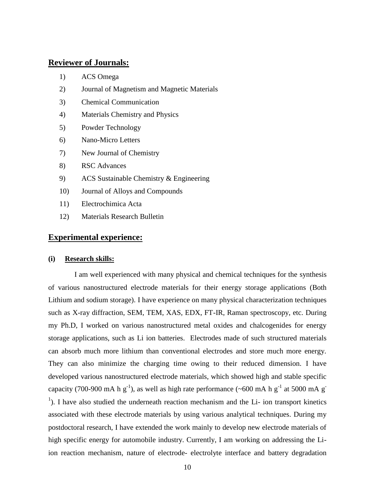## **Reviewer of Journals:**

- 1) ACS Omega
- 2) Journal of Magnetism and Magnetic Materials
- 3) Chemical Communication
- 4) Materials Chemistry and Physics
- 5) Powder Technology
- 6) Nano-Micro Letters
- 7) New Journal of Chemistry
- 8) RSC Advances
- 9) ACS Sustainable Chemistry & Engineering
- 10) Journal of Alloys and Compounds
- 11) Electrochimica Acta
- 12) Materials Research Bulletin

### **Experimental experience:**

#### **(i) Research skills:**

I am well experienced with many physical and chemical techniques for the synthesis of various nanostructured electrode materials for their energy storage applications (Both Lithium and sodium storage). I have experience on many physical characterization techniques such as X-ray diffraction, SEM, TEM, XAS, EDX, FT-IR, Raman spectroscopy, etc. During my Ph.D, I worked on various nanostructured metal oxides and chalcogenides for energy storage applications, such as Li ion batteries. Electrodes made of such structured materials can absorb much more lithium than conventional electrodes and store much more energy. They can also minimize the charging time owing to their reduced dimension. I have developed various nanostructured electrode materials, which showed high and stable specific capacity (700-900 mA h g<sup>-1</sup>), as well as high rate performance (~600 mA h g<sup>-1</sup> at 5000 mA g<sup>-</sup>  $<sup>1</sup>$ ). I have also studied the underneath reaction mechanism and the Li- ion transport kinetics</sup> associated with these electrode materials by using various analytical techniques. During my postdoctoral research, I have extended the work mainly to develop new electrode materials of high specific energy for automobile industry. Currently, I am working on addressing the Liion reaction mechanism, nature of electrode- electrolyte interface and battery degradation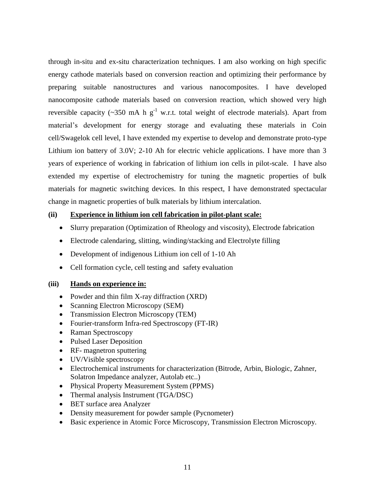through in-situ and ex-situ characterization techniques. I am also working on high specific energy cathode materials based on conversion reaction and optimizing their performance by preparing suitable nanostructures and various nanocomposites. I have developed nanocomposite cathode materials based on conversion reaction, which showed very high reversible capacity (~350 mA h  $g^{-1}$  w.r.t. total weight of electrode materials). Apart from material's development for energy storage and evaluating these materials in Coin cell/Swagelok cell level, I have extended my expertise to develop and demonstrate proto-type Lithium ion battery of 3.0V; 2-10 Ah for electric vehicle applications. I have more than 3 years of experience of working in fabrication of lithium ion cells in pilot-scale. I have also extended my expertise of electrochemistry for tuning the magnetic properties of bulk materials for magnetic switching devices. In this respect, I have demonstrated spectacular change in magnetic properties of bulk materials by lithium intercalation.

### **(ii) Experience in lithium ion cell fabrication in pilot-plant scale:**

- Slurry preparation (Optimization of Rheology and viscosity), Electrode fabrication
- Electrode calendaring, slitting, winding/stacking and Electrolyte filling
- Development of indigenous Lithium ion cell of 1-10 Ah
- Cell formation cycle, cell testing and safety evaluation

### **(iii) Hands on experience in:**

- Powder and thin film X-ray diffraction (XRD)
- Scanning Electron Microscopy (SEM)
- Transmission Electron Microscopy (TEM)
- Fourier-transform Infra-red Spectroscopy (FT-IR)
- Raman Spectroscopy
- Pulsed Laser Deposition
- RF- magnetron sputtering
- UV/Visible spectroscopy
- Electrochemical instruments for characterization (Bitrode, Arbin, Biologic, Zahner, Solatron Impedance analyzer, Autolab etc..)
- Physical Property Measurement System (PPMS)
- Thermal analysis Instrument (TGA/DSC)
- BET surface area Analyzer
- Density measurement for powder sample (Pycnometer)
- Basic experience in Atomic Force Microscopy, Transmission Electron Microscopy.